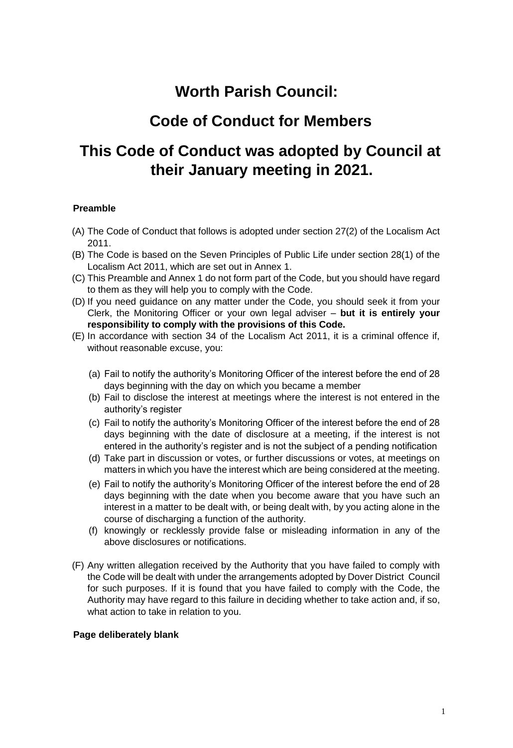# **Worth Parish Council:**

# **Code of Conduct for Members**

# **This Code of Conduct was adopted by Council at their January meeting in 2021.**

### **Preamble**

- (A) The Code of Conduct that follows is adopted under section 27(2) of the Localism Act 2011.
- (B) The Code is based on the Seven Principles of Public Life under section 28(1) of the Localism Act 2011, which are set out in Annex 1.
- (C) This Preamble and Annex 1 do not form part of the Code, but you should have regard to them as they will help you to comply with the Code.
- (D) If you need guidance on any matter under the Code, you should seek it from your Clerk, the Monitoring Officer or your own legal adviser – **but it is entirely your responsibility to comply with the provisions of this Code.**
- (E) In accordance with section 34 of the Localism Act 2011, it is a criminal offence if, without reasonable excuse, you:
	- (a) Fail to notify the authority's Monitoring Officer of the interest before the end of 28 days beginning with the day on which you became a member
	- (b) Fail to disclose the interest at meetings where the interest is not entered in the authority's register
	- (c) Fail to notify the authority's Monitoring Officer of the interest before the end of 28 days beginning with the date of disclosure at a meeting, if the interest is not entered in the authority's register and is not the subject of a pending notification
	- (d) Take part in discussion or votes, or further discussions or votes, at meetings on matters in which you have the interest which are being considered at the meeting.
	- (e) Fail to notify the authority's Monitoring Officer of the interest before the end of 28 days beginning with the date when you become aware that you have such an interest in a matter to be dealt with, or being dealt with, by you acting alone in the course of discharging a function of the authority.
	- (f) knowingly or recklessly provide false or misleading information in any of the above disclosures or notifications.
- (F) Any written allegation received by the Authority that you have failed to comply with the Code will be dealt with under the arrangements adopted by Dover District Council for such purposes. If it is found that you have failed to comply with the Code, the Authority may have regard to this failure in deciding whether to take action and, if so, what action to take in relation to you.

#### **Page deliberately blank**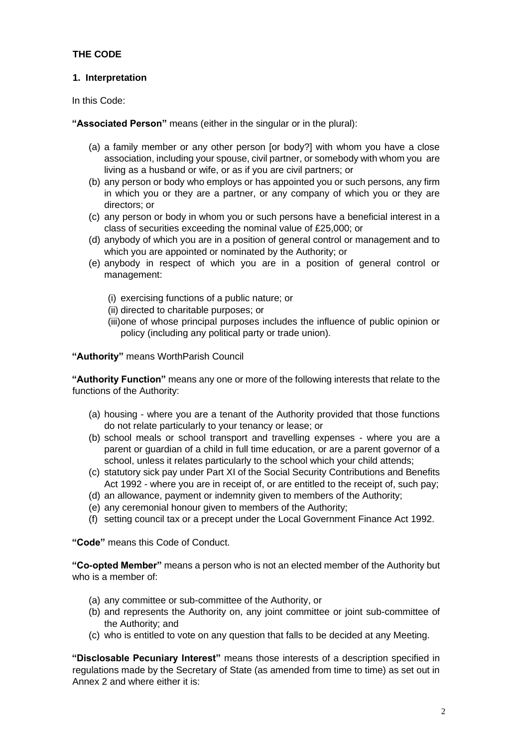### **THE CODE**

### **1. Interpretation**

In this Code:

**"Associated Person"** means (either in the singular or in the plural):

- (a) a family member or any other person [or body?] with whom you have a close association, including your spouse, civil partner, or somebody with whom you are living as a husband or wife, or as if you are civil partners; or
- (b) any person or body who employs or has appointed you or such persons, any firm in which you or they are a partner, or any company of which you or they are directors; or
- (c) any person or body in whom you or such persons have a beneficial interest in a class of securities exceeding the nominal value of £25,000; or
- (d) anybody of which you are in a position of general control or management and to which you are appointed or nominated by the Authority; or
- (e) anybody in respect of which you are in a position of general control or management:
	- (i) exercising functions of a public nature; or
	- (ii) directed to charitable purposes; or
	- (iii)one of whose principal purposes includes the influence of public opinion or policy (including any political party or trade union).

**"Authority"** means WorthParish Council

**"Authority Function"** means any one or more of the following interests that relate to the functions of the Authority:

- (a) housing where you are a tenant of the Authority provided that those functions do not relate particularly to your tenancy or lease; or
- (b) school meals or school transport and travelling expenses where you are a parent or guardian of a child in full time education, or are a parent governor of a school, unless it relates particularly to the school which your child attends;
- (c) statutory sick pay under Part XI of the Social Security Contributions and Benefits Act 1992 - where you are in receipt of, or are entitled to the receipt of, such pay;
- (d) an allowance, payment or indemnity given to members of the Authority;
- (e) any ceremonial honour given to members of the Authority;
- (f) setting council tax or a precept under the Local Government Finance Act 1992.

**"Code"** means this Code of Conduct.

**"Co-opted Member"** means a person who is not an elected member of the Authority but who is a member of:

- (a) any committee or sub-committee of the Authority, or
- (b) and represents the Authority on, any joint committee or joint sub-committee of the Authority; and
- (c) who is entitled to vote on any question that falls to be decided at any Meeting.

**"Disclosable Pecuniary Interest"** means those interests of a description specified in regulations made by the Secretary of State (as amended from time to time) as set out in Annex 2 and where either it is: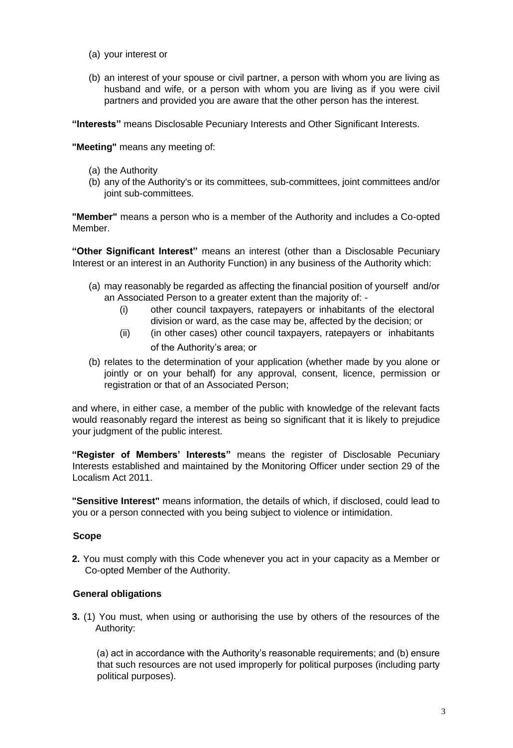- (a) your interest or
- (b) an interest of your spouse or civil partner, a person with whom you are living as husband and wife, or a person with whom you are living as if you were civil partners and provided you are aware that the other person has the interest.

**"Interests"** means Disclosable Pecuniary Interests and Other Significant Interests.

**"Meeting"** means any meeting of:

- (a) the Authority
- (b) any of the Authority's or its committees, sub-committees, joint committees and/or joint sub-committees.

**"Member"** means a person who is a member of the Authority and includes a Co-opted Member.

**"Other Significant Interest"** means an interest (other than a Disclosable Pecuniary Interest or an interest in an Authority Function) in any business of the Authority which:

- (a) may reasonably be regarded as affecting the financial position of yourself and/or an Associated Person to a greater extent than the majority of: -
	- (i) other council taxpayers, ratepayers or inhabitants of the electoral division or ward, as the case may be, affected by the decision; or
	- (ii) (in other cases) other council taxpayers, ratepayers or inhabitants of the Authority's area; or
- (b) relates to the determination of your application (whether made by you alone or jointly or on your behalf) for any approval, consent, licence, permission or registration or that of an Associated Person;

and where, in either case, a member of the public with knowledge of the relevant facts would reasonably regard the interest as being so significant that it is likely to prejudice your judgment of the public interest.

**"Register of Members' Interests"** means the register of Disclosable Pecuniary Interests established and maintained by the Monitoring Officer under section 29 of the Localism Act 2011.

**"Sensitive Interest"** means information, the details of which, if disclosed, could lead to you or a person connected with you being subject to violence or intimidation.

### **Scope**

**2.** You must comply with this Code whenever you act in your capacity as a Member or Co-opted Member of the Authority.

### **General obligations**

**3.** (1) You must, when using or authorising the use by others of the resources of the Authority:

(a) act in accordance with the Authority's reasonable requirements; and (b) ensure that such resources are not used improperly for political purposes (including party political purposes).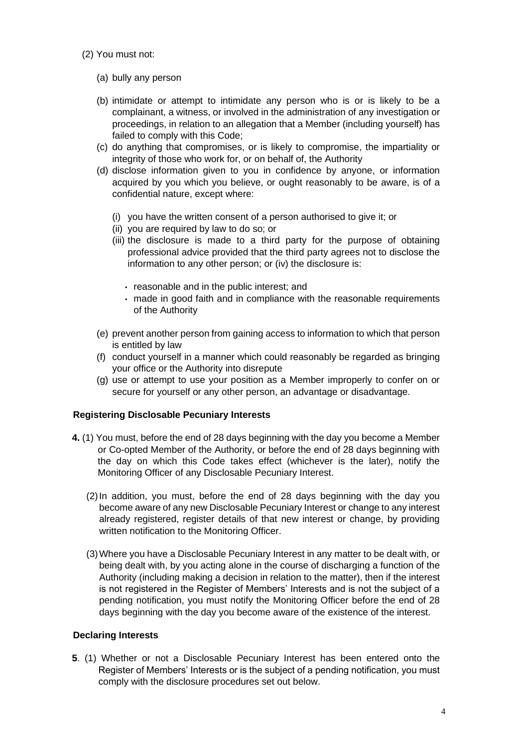- (2) You must not:
	- (a) bully any person
	- (b) intimidate or attempt to intimidate any person who is or is likely to be a complainant, a witness, or involved in the administration of any investigation or proceedings, in relation to an allegation that a Member (including yourself) has failed to comply with this Code;
	- (c) do anything that compromises, or is likely to compromise, the impartiality or integrity of those who work for, or on behalf of, the Authority
	- (d) disclose information given to you in confidence by anyone, or information acquired by you which you believe, or ought reasonably to be aware, is of a confidential nature, except where:
		- (i) you have the written consent of a person authorised to give it; or
		- (ii) you are required by law to do so; or
		- (iii) the disclosure is made to a third party for the purpose of obtaining professional advice provided that the third party agrees not to disclose the information to any other person; or (iv) the disclosure is:
			- reasonable and in the public interest; and
			- made in good faith and in compliance with the reasonable requirements of the Authority
	- (e) prevent another person from gaining access to information to which that person is entitled by law
	- (f) conduct yourself in a manner which could reasonably be regarded as bringing your office or the Authority into disrepute
	- (g) use or attempt to use your position as a Member improperly to confer on or secure for yourself or any other person, an advantage or disadvantage.

### **Registering Disclosable Pecuniary Interests**

- **4.** (1) You must, before the end of 28 days beginning with the day you become a Member or Co-opted Member of the Authority, or before the end of 28 days beginning with the day on which this Code takes effect (whichever is the later), notify the Monitoring Officer of any Disclosable Pecuniary Interest.
	- (2)In addition, you must, before the end of 28 days beginning with the day you become aware of any new Disclosable Pecuniary Interest or change to any interest already registered, register details of that new interest or change, by providing written notification to the Monitoring Officer.
	- (3)Where you have a Disclosable Pecuniary Interest in any matter to be dealt with, or being dealt with, by you acting alone in the course of discharging a function of the Authority (including making a decision in relation to the matter), then if the interest is not registered in the Register of Members' Interests and is not the subject of a pending notification, you must notify the Monitoring Officer before the end of 28 days beginning with the day you become aware of the existence of the interest.

#### **Declaring Interests**

**5**. (1) Whether or not a Disclosable Pecuniary Interest has been entered onto the Register of Members' Interests or is the subject of a pending notification, you must comply with the disclosure procedures set out below.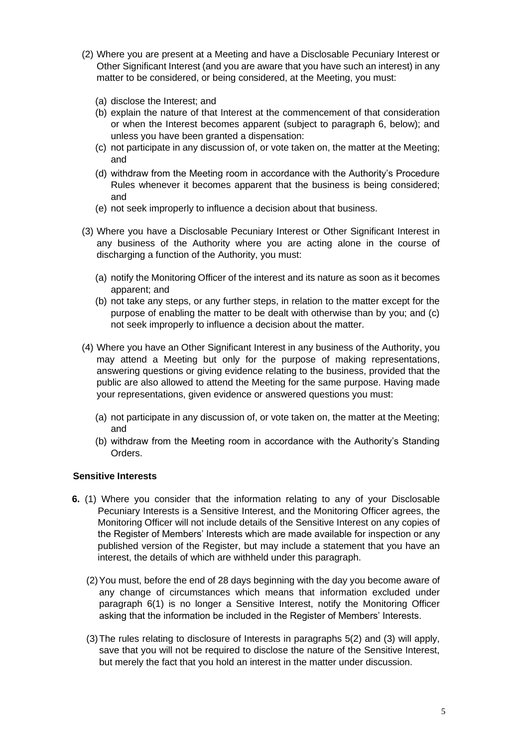- (2) Where you are present at a Meeting and have a Disclosable Pecuniary Interest or Other Significant Interest (and you are aware that you have such an interest) in any matter to be considered, or being considered, at the Meeting, you must:
	- (a) disclose the Interest; and
	- (b) explain the nature of that Interest at the commencement of that consideration or when the Interest becomes apparent (subject to paragraph 6, below); and unless you have been granted a dispensation:
	- (c) not participate in any discussion of, or vote taken on, the matter at the Meeting; and
	- (d) withdraw from the Meeting room in accordance with the Authority's Procedure Rules whenever it becomes apparent that the business is being considered; and
	- (e) not seek improperly to influence a decision about that business.
- (3) Where you have a Disclosable Pecuniary Interest or Other Significant Interest in any business of the Authority where you are acting alone in the course of discharging a function of the Authority, you must:
	- (a) notify the Monitoring Officer of the interest and its nature as soon as it becomes apparent; and
	- (b) not take any steps, or any further steps, in relation to the matter except for the purpose of enabling the matter to be dealt with otherwise than by you; and (c) not seek improperly to influence a decision about the matter.
- (4) Where you have an Other Significant Interest in any business of the Authority, you may attend a Meeting but only for the purpose of making representations, answering questions or giving evidence relating to the business, provided that the public are also allowed to attend the Meeting for the same purpose. Having made your representations, given evidence or answered questions you must:
	- (a) not participate in any discussion of, or vote taken on, the matter at the Meeting; and
	- (b) withdraw from the Meeting room in accordance with the Authority's Standing Orders.

### **Sensitive Interests**

- **6.** (1) Where you consider that the information relating to any of your Disclosable Pecuniary Interests is a Sensitive Interest, and the Monitoring Officer agrees, the Monitoring Officer will not include details of the Sensitive Interest on any copies of the Register of Members' Interests which are made available for inspection or any published version of the Register, but may include a statement that you have an interest, the details of which are withheld under this paragraph.
	- (2)You must, before the end of 28 days beginning with the day you become aware of any change of circumstances which means that information excluded under paragraph 6(1) is no longer a Sensitive Interest, notify the Monitoring Officer asking that the information be included in the Register of Members' Interests.
	- (3)The rules relating to disclosure of Interests in paragraphs 5(2) and (3) will apply, save that you will not be required to disclose the nature of the Sensitive Interest, but merely the fact that you hold an interest in the matter under discussion.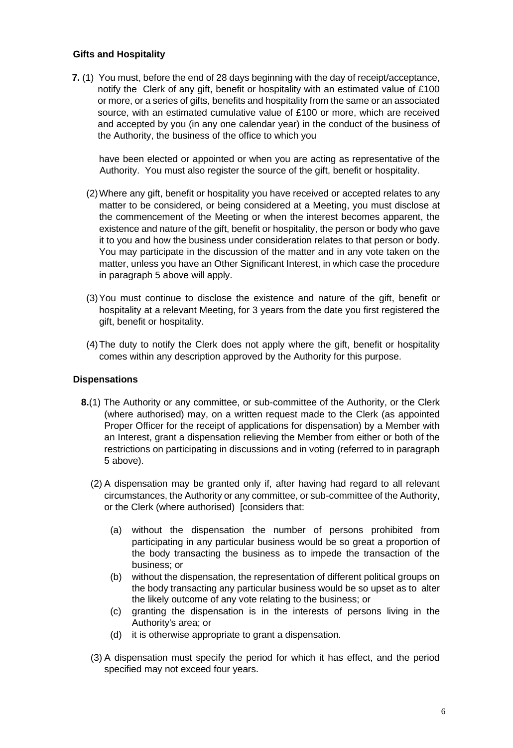#### **Gifts and Hospitality**

**7.** (1)You must, before the end of 28 days beginning with the day of receipt/acceptance, notify the Clerk of any gift, benefit or hospitality with an estimated value of £100 or more, or a series of gifts, benefits and hospitality from the same or an associated source, with an estimated cumulative value of £100 or more, which are received and accepted by you (in any one calendar year) in the conduct of the business of the Authority, the business of the office to which you

have been elected or appointed or when you are acting as representative of the Authority. You must also register the source of the gift, benefit or hospitality.

- (2)Where any gift, benefit or hospitality you have received or accepted relates to any matter to be considered, or being considered at a Meeting, you must disclose at the commencement of the Meeting or when the interest becomes apparent, the existence and nature of the gift, benefit or hospitality, the person or body who gave it to you and how the business under consideration relates to that person or body. You may participate in the discussion of the matter and in any vote taken on the matter, unless you have an Other Significant Interest, in which case the procedure in paragraph 5 above will apply.
- (3)You must continue to disclose the existence and nature of the gift, benefit or hospitality at a relevant Meeting, for 3 years from the date you first registered the gift, benefit or hospitality.
- (4)The duty to notify the Clerk does not apply where the gift, benefit or hospitality comes within any description approved by the Authority for this purpose.

#### **Dispensations**

- **8.**(1) The Authority or any committee, or sub-committee of the Authority, or the Clerk (where authorised) may, on a written request made to the Clerk (as appointed Proper Officer for the receipt of applications for dispensation) by a Member with an Interest, grant a dispensation relieving the Member from either or both of the restrictions on participating in discussions and in voting (referred to in paragraph 5 above).
	- (2) A dispensation may be granted only if, after having had regard to all relevant circumstances, the Authority or any committee, or sub-committee of the Authority, or the Clerk (where authorised) [considers that:
		- (a) without the dispensation the number of persons prohibited from participating in any particular business would be so great a proportion of the body transacting the business as to impede the transaction of the business; or
		- (b) without the dispensation, the representation of different political groups on the body transacting any particular business would be so upset as to alter the likely outcome of any vote relating to the business; or
		- (c) granting the dispensation is in the interests of persons living in the Authority's area; or
		- (d) it is otherwise appropriate to grant a dispensation.
	- (3) A dispensation must specify the period for which it has effect, and the period specified may not exceed four years.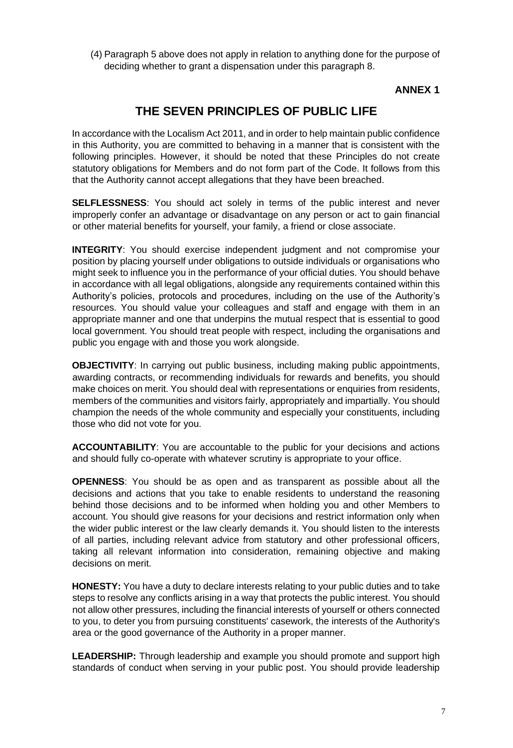(4) Paragraph 5 above does not apply in relation to anything done for the purpose of deciding whether to grant a dispensation under this paragraph 8.

## **ANNEX 1**

# **THE SEVEN PRINCIPLES OF PUBLIC LIFE**

In accordance with the Localism Act 2011, and in order to help maintain public confidence in this Authority, you are committed to behaving in a manner that is consistent with the following principles. However, it should be noted that these Principles do not create statutory obligations for Members and do not form part of the Code. It follows from this that the Authority cannot accept allegations that they have been breached.

**SELFLESSNESS**: You should act solely in terms of the public interest and never improperly confer an advantage or disadvantage on any person or act to gain financial or other material benefits for yourself, your family, a friend or close associate.

**INTEGRITY**: You should exercise independent judgment and not compromise your position by placing yourself under obligations to outside individuals or organisations who might seek to influence you in the performance of your official duties. You should behave in accordance with all legal obligations, alongside any requirements contained within this Authority's policies, protocols and procedures, including on the use of the Authority's resources. You should value your colleagues and staff and engage with them in an appropriate manner and one that underpins the mutual respect that is essential to good local government. You should treat people with respect, including the organisations and public you engage with and those you work alongside.

**OBJECTIVITY:** In carrying out public business, including making public appointments, awarding contracts, or recommending individuals for rewards and benefits, you should make choices on merit. You should deal with representations or enquiries from residents, members of the communities and visitors fairly, appropriately and impartially. You should champion the needs of the whole community and especially your constituents, including those who did not vote for you.

**ACCOUNTABILITY**: You are accountable to the public for your decisions and actions and should fully co-operate with whatever scrutiny is appropriate to your office.

**OPENNESS**: You should be as open and as transparent as possible about all the decisions and actions that you take to enable residents to understand the reasoning behind those decisions and to be informed when holding you and other Members to account. You should give reasons for your decisions and restrict information only when the wider public interest or the law clearly demands it. You should listen to the interests of all parties, including relevant advice from statutory and other professional officers, taking all relevant information into consideration, remaining objective and making decisions on merit.

**HONESTY:** You have a duty to declare interests relating to your public duties and to take steps to resolve any conflicts arising in a way that protects the public interest. You should not allow other pressures, including the financial interests of yourself or others connected to you, to deter you from pursuing constituents' casework, the interests of the Authority's area or the good governance of the Authority in a proper manner.

**LEADERSHIP:** Through leadership and example you should promote and support high standards of conduct when serving in your public post. You should provide leadership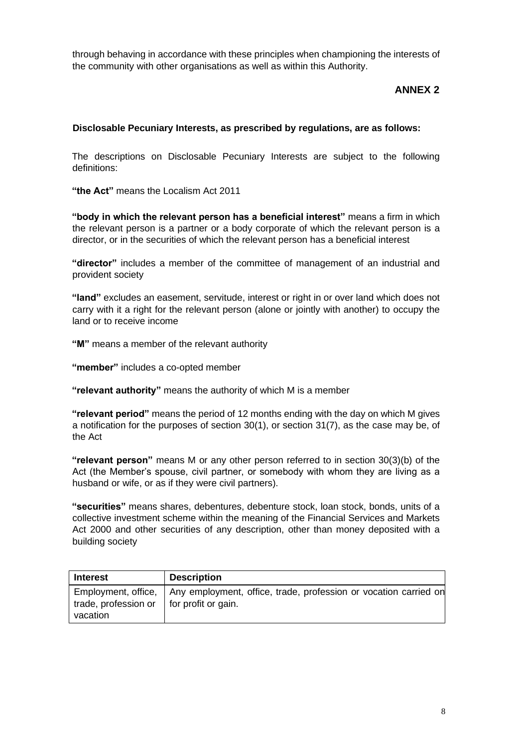through behaving in accordance with these principles when championing the interests of the community with other organisations as well as within this Authority.

## **ANNEX 2**

### **Disclosable Pecuniary Interests, as prescribed by regulations, are as follows:**

The descriptions on Disclosable Pecuniary Interests are subject to the following definitions:

**"the Act"** means the Localism Act 2011

**"body in which the relevant person has a beneficial interest"** means a firm in which the relevant person is a partner or a body corporate of which the relevant person is a director, or in the securities of which the relevant person has a beneficial interest

**"director"** includes a member of the committee of management of an industrial and provident society

**"land"** excludes an easement, servitude, interest or right in or over land which does not carry with it a right for the relevant person (alone or jointly with another) to occupy the land or to receive income

**"M"** means a member of the relevant authority

**"member"** includes a co-opted member

**"relevant authority"** means the authority of which M is a member

**"relevant period"** means the period of 12 months ending with the day on which M gives a notification for the purposes of section 30(1), or section 31(7), as the case may be, of the Act

**"relevant person"** means M or any other person referred to in section 30(3)(b) of the Act (the Member's spouse, civil partner, or somebody with whom they are living as a husband or wife, or as if they were civil partners).

**"securities"** means shares, debentures, debenture stock, loan stock, bonds, units of a collective investment scheme within the meaning of the Financial Services and Markets Act 2000 and other securities of any description, other than money deposited with a building society

| <b>Interest</b>                                                  | <b>Description</b>                                                                     |
|------------------------------------------------------------------|----------------------------------------------------------------------------------------|
| trade, profession or $\parallel$ for profit or gain.<br>vacation | Employment, office,   Any employment, office, trade, profession or vocation carried on |